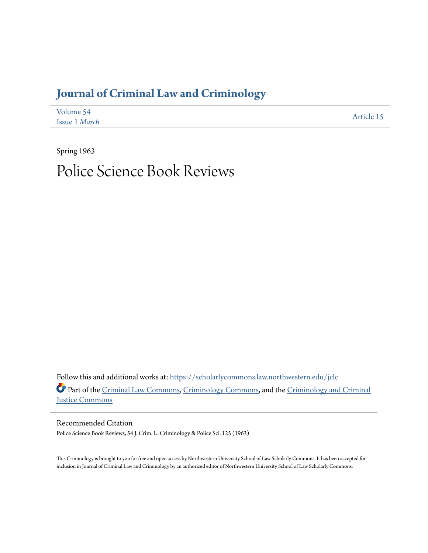## **[Journal of Criminal Law and Criminology](https://scholarlycommons.law.northwestern.edu/jclc?utm_source=scholarlycommons.law.northwestern.edu%2Fjclc%2Fvol54%2Fiss1%2F15&utm_medium=PDF&utm_campaign=PDFCoverPages)**

| Volume 54     | Article 15 |
|---------------|------------|
| Issue 1 March |            |

Spring 1963

## Police Science Book Reviews

Follow this and additional works at: [https://scholarlycommons.law.northwestern.edu/jclc](https://scholarlycommons.law.northwestern.edu/jclc?utm_source=scholarlycommons.law.northwestern.edu%2Fjclc%2Fvol54%2Fiss1%2F15&utm_medium=PDF&utm_campaign=PDFCoverPages) Part of the [Criminal Law Commons](http://network.bepress.com/hgg/discipline/912?utm_source=scholarlycommons.law.northwestern.edu%2Fjclc%2Fvol54%2Fiss1%2F15&utm_medium=PDF&utm_campaign=PDFCoverPages), [Criminology Commons](http://network.bepress.com/hgg/discipline/417?utm_source=scholarlycommons.law.northwestern.edu%2Fjclc%2Fvol54%2Fiss1%2F15&utm_medium=PDF&utm_campaign=PDFCoverPages), and the [Criminology and Criminal](http://network.bepress.com/hgg/discipline/367?utm_source=scholarlycommons.law.northwestern.edu%2Fjclc%2Fvol54%2Fiss1%2F15&utm_medium=PDF&utm_campaign=PDFCoverPages) [Justice Commons](http://network.bepress.com/hgg/discipline/367?utm_source=scholarlycommons.law.northwestern.edu%2Fjclc%2Fvol54%2Fiss1%2F15&utm_medium=PDF&utm_campaign=PDFCoverPages)

Recommended Citation Police Science Book Reviews, 54 J. Crim. L. Criminology & Police Sci. 125 (1963)

This Criminology is brought to you for free and open access by Northwestern University School of Law Scholarly Commons. It has been accepted for inclusion in Journal of Criminal Law and Criminology by an authorized editor of Northwestern University School of Law Scholarly Commons.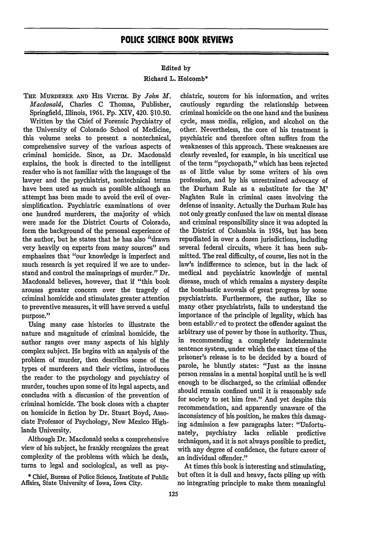## Edited **by**

## Richard **L.** Holcomb\*

**THE MUDEEER AND HIS** VICTIM. **By** *John M. Macdonald,* Charles C Thomas, Publisher, Springfield, fllinois, 1961. **Pp.** XIV, 420. \$10.50. Written by the Chief of Forensic Psychiatry of the University of Colorado School of Medicine, this volume seeks to present a nontechnical, comprehensive survey of the various aspects of criminal homicide. Since, as Dr. Macdonald explains, the book is directed to the intelligent reader who is not familiar with the language of the lawyer and the psychiatrist, nontechnical terms have been used as much as possible although an attempt has been made to avoid the evil of oversimplification. Psychiatric examinations of over one hundred murderers, the majority of which were made for the District Courts of Colorado, form the background of the personal experience of the author, but he states that he has also "drawn very heavily on experts from many sources" and emphasizes that "our knowledge is imperfect and much research is yet required if we are to understand and control the mainsprings of murder." Dr. Macdonald believes, however, that if "this book arouses greater concern over the tragedy of criminal homicide and stimulates greater attention to preventive measures, it will have served a useful purpose."

Using many case histories to illustrate the nature and magnitude of criminal homicide, the author ranges over many aspects of his highly complex subject. He begins with an analysis of the problem of murder, then describes some of the types of murderers and their victims, introduces the reader to the psychology and psychiatry of murder, touches upon some of its legal aspects, and concludes with a discussion of the prevention of criminal homicide. The book closes with a chapter on homicide in fiction by Dr. Stuart Boyd, Associate Professor of Psychology, New Mexico Highlands University.

Although Dr. Macdonald seeks a comprehensive view of his subject, he frankly recognizes the great complexity of the problems with which he deals, turns to legal and sociological, as well as psy-

\* Chief, Bureau of Police Science, Institute of Public Affairs, State University of Iowa, Iowa City.

chiatric, sources for his information, and writes cautiously regarding the relationship between criminal homicide on the one hand and the business cycle, mass media, religion, and alcohol on the other. Nevertheless, the core of his treatment is psychiatric and therefore often suffers from the weaknesses of this approach. These weaknesses are dearly revealed, for example, in his uncritical use of the term "psychopath," which has been rejected as of little value by some writers of his own profession, and by his unrestrained advocacy of the Durham Rule as a substitute for the M' Naghten Rule in criminal cases involving the defense of insanity. Actually the Durham Rule has not only greatly confused the law on mental disease and criminal responsibility since it was adopted in the District of Columbia in 1954, but has been repudiated in over a dozen jurisdictions, including several federal circuits, where it has been submitted. The real difficulty, of course, lies not in the law's indifference to science, but in the lack of medical and psychiatric knowledge of mental disease, much of which remains a mystery despite the bombastic avowals of great progress by some psychiatrists. Furthermore, the author, like so many other psychiatrists, fails to understand the importance of the principle of legality, which has been establis<sup>t</sup> ed to protect the offender against the arbitrary use of power by those in authority. Thus, in recommending a completely indeterminate sentence system, under which the exact time of the prisoner's release is to be decided by a board of parole, he bluntly states: "Just as the insane person remains in a mental hospital until he is well enough to be discharged, so the criminal offender should remain confined until it is reasonably safe for society to set him free." And yet despite this recommendation, and apparently unaware of the inconsistency of his position, he makes this damaging admission a few paragraphs later: "Unfortunately, psychiatry lacks reliable predictive techniques, and it is not always possible to predict, with any degree of confidence, the future career of an individual offender."

At times this book is interesting and stimulating, but often it is dull and heavy, facts piling up with no integrating principle to make them meaningful